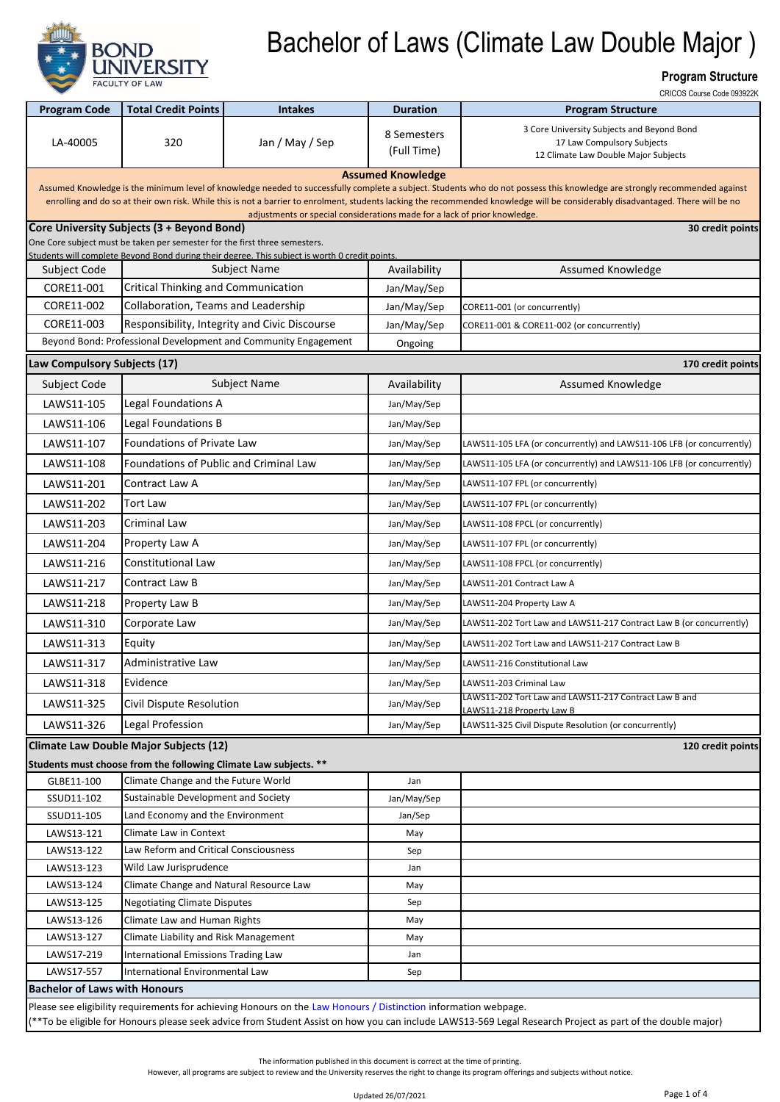

#### **Program Structure**

| <b>Total Credit Points</b><br><b>Program Code</b><br><b>Intakes</b><br><b>Duration</b><br><b>Program Structure</b><br>3 Core University Subjects and Beyond Bond<br>8 Semesters<br>Jan / May / Sep<br>LA-40005<br>320<br>17 Law Compulsory Subjects<br>(Full Time)<br>12 Climate Law Double Major Subjects<br><b>Assumed Knowledge</b><br>Assumed Knowledge is the minimum level of knowledge needed to successfully complete a subject. Students who do not possess this knowledge are strongly recommended against<br>enrolling and do so at their own risk. While this is not a barrier to enrolment, students lacking the recommended knowledge will be considerably disadvantaged. There will be no<br>adjustments or special considerations made for a lack of prior knowledge.<br>One Core subject must be taken per semester for the first three semesters.<br>Subject Name<br>Availability<br>Subject Code<br>Assumed Knowledge<br>Critical Thinking and Communication<br>CORE11-001<br>Jan/May/Sep<br>CORE11-002<br>Collaboration, Teams and Leadership<br>Jan/May/Sep<br>CORE11-001 (or concurrently)<br>CORE11-003<br>Responsibility, Integrity and Civic Discourse<br>Jan/May/Sep<br>CORE11-001 & CORE11-002 (or concurrently)<br>Beyond Bond: Professional Development and Community Engagement<br>Ongoing<br>Law Compulsory Subjects (17)<br>Subject Name<br>Subject Code<br>Availability<br>Assumed Knowledge<br>Legal Foundations A<br>LAWS11-105<br>Jan/May/Sep<br>Legal Foundations B<br>LAWS11-106<br>Jan/May/Sep<br><b>Foundations of Private Law</b><br>LAWS11-107<br>Jan/May/Sep<br>Foundations of Public and Criminal Law<br>LAWS11-108<br>Jan/May/Sep<br>LAWS11-201<br>Contract Law A<br>LAWS11-107 FPL (or concurrently)<br>Jan/May/Sep<br>Tort Law<br>LAWS11-202<br>Jan/May/Sep<br>LAWS11-107 FPL (or concurrently)<br>Criminal Law<br>LAWS11-203<br>Jan/May/Sep<br>LAWS11-108 FPCL (or concurrently)<br>LAWS11-204<br>Property Law A<br>LAWS11-107 FPL (or concurrently)<br>Jan/May/Sep<br>Constitutional Law<br>LAWS11-216<br>Jan/May/Sep<br>LAWS11-108 FPCL (or concurrently)<br>Contract Law B<br>LAWS11-217<br>LAWS11-201 Contract Law A<br>Jan/May/Sep<br>Property Law B<br>LAWS11-218<br>Jan/May/Sep<br>LAWS11-204 Property Law A<br>LAWS11-310<br>Jan/May/Sep<br>Corporate Law<br>Equity<br>LAWS11-313<br>Jan/May/Sep<br>LAWS11-202 Tort Law and LAWS11-217 Contract Law B<br>LAWS11-317<br>Administrative Law<br>Jan/May/Sep<br>AWS11-216 Constitutional Law<br>LAWS11-318<br>Evidence<br>Jan/May/Sep<br>LAWS11-203 Criminal Law<br>LAWS11-202 Tort Law and LAWS11-217 Contract Law B and<br>Civil Dispute Resolution<br>LAWS11-325<br>Jan/May/Sep<br><b>AWS11-218 Property Law B</b><br>Legal Profession<br>LAWS11-326<br>LAWS11-325 Civil Dispute Resolution (or concurrently)<br>Jan/May/Sep<br><b>Climate Law Double Major Subjects (12)</b><br>120 credit points<br>Climate Change and the Future World<br>GLBE11-100<br>Jan<br>Sustainable Development and Society<br>SSUD11-102<br>Jan/May/Sep<br>Land Economy and the Environment<br>SSUD11-105<br>Jan/Sep<br>Climate Law in Context<br>LAWS13-121<br>May<br>Law Reform and Critical Consciousness<br>LAWS13-122<br>Sep<br>Wild Law Jurisprudence<br>LAWS13-123<br>Jan<br>Climate Change and Natural Resource Law<br>LAWS13-124<br>May<br>LAWS13-125<br><b>Negotiating Climate Disputes</b><br>Sep<br>Climate Law and Human Rights<br>LAWS13-126<br>May<br>LAWS13-127<br>Climate Liability and Risk Management<br>May<br>LAWS17-219<br>International Emissions Trading Law<br>Jan<br>International Environmental Law |            |  |  |     | CRICOS Course Code 093922K                                            |
|------------------------------------------------------------------------------------------------------------------------------------------------------------------------------------------------------------------------------------------------------------------------------------------------------------------------------------------------------------------------------------------------------------------------------------------------------------------------------------------------------------------------------------------------------------------------------------------------------------------------------------------------------------------------------------------------------------------------------------------------------------------------------------------------------------------------------------------------------------------------------------------------------------------------------------------------------------------------------------------------------------------------------------------------------------------------------------------------------------------------------------------------------------------------------------------------------------------------------------------------------------------------------------------------------------------------------------------------------------------------------------------------------------------------------------------------------------------------------------------------------------------------------------------------------------------------------------------------------------------------------------------------------------------------------------------------------------------------------------------------------------------------------------------------------------------------------------------------------------------------------------------------------------------------------------------------------------------------------------------------------------------------------------------------------------------------------------------------------------------------------------------------------------------------------------------------------------------------------------------------------------------------------------------------------------------------------------------------------------------------------------------------------------------------------------------------------------------------------------------------------------------------------------------------------------------------------------------------------------------------------------------------------------------------------------------------------------------------------------------------------------------------------------------------------------------------------------------------------------------------------------------------------------------------------------------------------------------------------------------------------------------------------------------------------------------------------------------------------------------------------------------------------------------------------------------------------------------------------------------------------------------------------------------------------------------------------------------------------------------------------------------------------------------------------------------------------------------------------------------------------------------------------------------------------------------------------------------------------------------|------------|--|--|-----|-----------------------------------------------------------------------|
|                                                                                                                                                                                                                                                                                                                                                                                                                                                                                                                                                                                                                                                                                                                                                                                                                                                                                                                                                                                                                                                                                                                                                                                                                                                                                                                                                                                                                                                                                                                                                                                                                                                                                                                                                                                                                                                                                                                                                                                                                                                                                                                                                                                                                                                                                                                                                                                                                                                                                                                                                                                                                                                                                                                                                                                                                                                                                                                                                                                                                                                                                                                                                                                                                                                                                                                                                                                                                                                                                                                                                                                                                  |            |  |  |     |                                                                       |
| Core University Subjects (3 + Beyond Bond)<br>Students will complete Beyond Bond during their degree. This subject is worth 0 credit points.<br>Students must choose from the following Climate Law subjects. **                                                                                                                                                                                                                                                                                                                                                                                                                                                                                                                                                                                                                                                                                                                                                                                                                                                                                                                                                                                                                                                                                                                                                                                                                                                                                                                                                                                                                                                                                                                                                                                                                                                                                                                                                                                                                                                                                                                                                                                                                                                                                                                                                                                                                                                                                                                                                                                                                                                                                                                                                                                                                                                                                                                                                                                                                                                                                                                                                                                                                                                                                                                                                                                                                                                                                                                                                                                                 |            |  |  |     |                                                                       |
|                                                                                                                                                                                                                                                                                                                                                                                                                                                                                                                                                                                                                                                                                                                                                                                                                                                                                                                                                                                                                                                                                                                                                                                                                                                                                                                                                                                                                                                                                                                                                                                                                                                                                                                                                                                                                                                                                                                                                                                                                                                                                                                                                                                                                                                                                                                                                                                                                                                                                                                                                                                                                                                                                                                                                                                                                                                                                                                                                                                                                                                                                                                                                                                                                                                                                                                                                                                                                                                                                                                                                                                                                  |            |  |  |     |                                                                       |
|                                                                                                                                                                                                                                                                                                                                                                                                                                                                                                                                                                                                                                                                                                                                                                                                                                                                                                                                                                                                                                                                                                                                                                                                                                                                                                                                                                                                                                                                                                                                                                                                                                                                                                                                                                                                                                                                                                                                                                                                                                                                                                                                                                                                                                                                                                                                                                                                                                                                                                                                                                                                                                                                                                                                                                                                                                                                                                                                                                                                                                                                                                                                                                                                                                                                                                                                                                                                                                                                                                                                                                                                                  |            |  |  |     |                                                                       |
|                                                                                                                                                                                                                                                                                                                                                                                                                                                                                                                                                                                                                                                                                                                                                                                                                                                                                                                                                                                                                                                                                                                                                                                                                                                                                                                                                                                                                                                                                                                                                                                                                                                                                                                                                                                                                                                                                                                                                                                                                                                                                                                                                                                                                                                                                                                                                                                                                                                                                                                                                                                                                                                                                                                                                                                                                                                                                                                                                                                                                                                                                                                                                                                                                                                                                                                                                                                                                                                                                                                                                                                                                  |            |  |  |     |                                                                       |
|                                                                                                                                                                                                                                                                                                                                                                                                                                                                                                                                                                                                                                                                                                                                                                                                                                                                                                                                                                                                                                                                                                                                                                                                                                                                                                                                                                                                                                                                                                                                                                                                                                                                                                                                                                                                                                                                                                                                                                                                                                                                                                                                                                                                                                                                                                                                                                                                                                                                                                                                                                                                                                                                                                                                                                                                                                                                                                                                                                                                                                                                                                                                                                                                                                                                                                                                                                                                                                                                                                                                                                                                                  |            |  |  |     |                                                                       |
|                                                                                                                                                                                                                                                                                                                                                                                                                                                                                                                                                                                                                                                                                                                                                                                                                                                                                                                                                                                                                                                                                                                                                                                                                                                                                                                                                                                                                                                                                                                                                                                                                                                                                                                                                                                                                                                                                                                                                                                                                                                                                                                                                                                                                                                                                                                                                                                                                                                                                                                                                                                                                                                                                                                                                                                                                                                                                                                                                                                                                                                                                                                                                                                                                                                                                                                                                                                                                                                                                                                                                                                                                  |            |  |  |     | 30 credit points                                                      |
|                                                                                                                                                                                                                                                                                                                                                                                                                                                                                                                                                                                                                                                                                                                                                                                                                                                                                                                                                                                                                                                                                                                                                                                                                                                                                                                                                                                                                                                                                                                                                                                                                                                                                                                                                                                                                                                                                                                                                                                                                                                                                                                                                                                                                                                                                                                                                                                                                                                                                                                                                                                                                                                                                                                                                                                                                                                                                                                                                                                                                                                                                                                                                                                                                                                                                                                                                                                                                                                                                                                                                                                                                  |            |  |  |     |                                                                       |
|                                                                                                                                                                                                                                                                                                                                                                                                                                                                                                                                                                                                                                                                                                                                                                                                                                                                                                                                                                                                                                                                                                                                                                                                                                                                                                                                                                                                                                                                                                                                                                                                                                                                                                                                                                                                                                                                                                                                                                                                                                                                                                                                                                                                                                                                                                                                                                                                                                                                                                                                                                                                                                                                                                                                                                                                                                                                                                                                                                                                                                                                                                                                                                                                                                                                                                                                                                                                                                                                                                                                                                                                                  |            |  |  |     |                                                                       |
|                                                                                                                                                                                                                                                                                                                                                                                                                                                                                                                                                                                                                                                                                                                                                                                                                                                                                                                                                                                                                                                                                                                                                                                                                                                                                                                                                                                                                                                                                                                                                                                                                                                                                                                                                                                                                                                                                                                                                                                                                                                                                                                                                                                                                                                                                                                                                                                                                                                                                                                                                                                                                                                                                                                                                                                                                                                                                                                                                                                                                                                                                                                                                                                                                                                                                                                                                                                                                                                                                                                                                                                                                  |            |  |  |     |                                                                       |
|                                                                                                                                                                                                                                                                                                                                                                                                                                                                                                                                                                                                                                                                                                                                                                                                                                                                                                                                                                                                                                                                                                                                                                                                                                                                                                                                                                                                                                                                                                                                                                                                                                                                                                                                                                                                                                                                                                                                                                                                                                                                                                                                                                                                                                                                                                                                                                                                                                                                                                                                                                                                                                                                                                                                                                                                                                                                                                                                                                                                                                                                                                                                                                                                                                                                                                                                                                                                                                                                                                                                                                                                                  |            |  |  |     |                                                                       |
|                                                                                                                                                                                                                                                                                                                                                                                                                                                                                                                                                                                                                                                                                                                                                                                                                                                                                                                                                                                                                                                                                                                                                                                                                                                                                                                                                                                                                                                                                                                                                                                                                                                                                                                                                                                                                                                                                                                                                                                                                                                                                                                                                                                                                                                                                                                                                                                                                                                                                                                                                                                                                                                                                                                                                                                                                                                                                                                                                                                                                                                                                                                                                                                                                                                                                                                                                                                                                                                                                                                                                                                                                  |            |  |  |     |                                                                       |
|                                                                                                                                                                                                                                                                                                                                                                                                                                                                                                                                                                                                                                                                                                                                                                                                                                                                                                                                                                                                                                                                                                                                                                                                                                                                                                                                                                                                                                                                                                                                                                                                                                                                                                                                                                                                                                                                                                                                                                                                                                                                                                                                                                                                                                                                                                                                                                                                                                                                                                                                                                                                                                                                                                                                                                                                                                                                                                                                                                                                                                                                                                                                                                                                                                                                                                                                                                                                                                                                                                                                                                                                                  |            |  |  |     |                                                                       |
|                                                                                                                                                                                                                                                                                                                                                                                                                                                                                                                                                                                                                                                                                                                                                                                                                                                                                                                                                                                                                                                                                                                                                                                                                                                                                                                                                                                                                                                                                                                                                                                                                                                                                                                                                                                                                                                                                                                                                                                                                                                                                                                                                                                                                                                                                                                                                                                                                                                                                                                                                                                                                                                                                                                                                                                                                                                                                                                                                                                                                                                                                                                                                                                                                                                                                                                                                                                                                                                                                                                                                                                                                  |            |  |  |     |                                                                       |
|                                                                                                                                                                                                                                                                                                                                                                                                                                                                                                                                                                                                                                                                                                                                                                                                                                                                                                                                                                                                                                                                                                                                                                                                                                                                                                                                                                                                                                                                                                                                                                                                                                                                                                                                                                                                                                                                                                                                                                                                                                                                                                                                                                                                                                                                                                                                                                                                                                                                                                                                                                                                                                                                                                                                                                                                                                                                                                                                                                                                                                                                                                                                                                                                                                                                                                                                                                                                                                                                                                                                                                                                                  |            |  |  |     | 170 credit points                                                     |
|                                                                                                                                                                                                                                                                                                                                                                                                                                                                                                                                                                                                                                                                                                                                                                                                                                                                                                                                                                                                                                                                                                                                                                                                                                                                                                                                                                                                                                                                                                                                                                                                                                                                                                                                                                                                                                                                                                                                                                                                                                                                                                                                                                                                                                                                                                                                                                                                                                                                                                                                                                                                                                                                                                                                                                                                                                                                                                                                                                                                                                                                                                                                                                                                                                                                                                                                                                                                                                                                                                                                                                                                                  |            |  |  |     |                                                                       |
|                                                                                                                                                                                                                                                                                                                                                                                                                                                                                                                                                                                                                                                                                                                                                                                                                                                                                                                                                                                                                                                                                                                                                                                                                                                                                                                                                                                                                                                                                                                                                                                                                                                                                                                                                                                                                                                                                                                                                                                                                                                                                                                                                                                                                                                                                                                                                                                                                                                                                                                                                                                                                                                                                                                                                                                                                                                                                                                                                                                                                                                                                                                                                                                                                                                                                                                                                                                                                                                                                                                                                                                                                  |            |  |  |     |                                                                       |
|                                                                                                                                                                                                                                                                                                                                                                                                                                                                                                                                                                                                                                                                                                                                                                                                                                                                                                                                                                                                                                                                                                                                                                                                                                                                                                                                                                                                                                                                                                                                                                                                                                                                                                                                                                                                                                                                                                                                                                                                                                                                                                                                                                                                                                                                                                                                                                                                                                                                                                                                                                                                                                                                                                                                                                                                                                                                                                                                                                                                                                                                                                                                                                                                                                                                                                                                                                                                                                                                                                                                                                                                                  |            |  |  |     |                                                                       |
|                                                                                                                                                                                                                                                                                                                                                                                                                                                                                                                                                                                                                                                                                                                                                                                                                                                                                                                                                                                                                                                                                                                                                                                                                                                                                                                                                                                                                                                                                                                                                                                                                                                                                                                                                                                                                                                                                                                                                                                                                                                                                                                                                                                                                                                                                                                                                                                                                                                                                                                                                                                                                                                                                                                                                                                                                                                                                                                                                                                                                                                                                                                                                                                                                                                                                                                                                                                                                                                                                                                                                                                                                  |            |  |  |     | LAWS11-105 LFA (or concurrently) and LAWS11-106 LFB (or concurrently) |
|                                                                                                                                                                                                                                                                                                                                                                                                                                                                                                                                                                                                                                                                                                                                                                                                                                                                                                                                                                                                                                                                                                                                                                                                                                                                                                                                                                                                                                                                                                                                                                                                                                                                                                                                                                                                                                                                                                                                                                                                                                                                                                                                                                                                                                                                                                                                                                                                                                                                                                                                                                                                                                                                                                                                                                                                                                                                                                                                                                                                                                                                                                                                                                                                                                                                                                                                                                                                                                                                                                                                                                                                                  |            |  |  |     | LAWS11-105 LFA (or concurrently) and LAWS11-106 LFB (or concurrently) |
|                                                                                                                                                                                                                                                                                                                                                                                                                                                                                                                                                                                                                                                                                                                                                                                                                                                                                                                                                                                                                                                                                                                                                                                                                                                                                                                                                                                                                                                                                                                                                                                                                                                                                                                                                                                                                                                                                                                                                                                                                                                                                                                                                                                                                                                                                                                                                                                                                                                                                                                                                                                                                                                                                                                                                                                                                                                                                                                                                                                                                                                                                                                                                                                                                                                                                                                                                                                                                                                                                                                                                                                                                  |            |  |  |     |                                                                       |
|                                                                                                                                                                                                                                                                                                                                                                                                                                                                                                                                                                                                                                                                                                                                                                                                                                                                                                                                                                                                                                                                                                                                                                                                                                                                                                                                                                                                                                                                                                                                                                                                                                                                                                                                                                                                                                                                                                                                                                                                                                                                                                                                                                                                                                                                                                                                                                                                                                                                                                                                                                                                                                                                                                                                                                                                                                                                                                                                                                                                                                                                                                                                                                                                                                                                                                                                                                                                                                                                                                                                                                                                                  |            |  |  |     |                                                                       |
|                                                                                                                                                                                                                                                                                                                                                                                                                                                                                                                                                                                                                                                                                                                                                                                                                                                                                                                                                                                                                                                                                                                                                                                                                                                                                                                                                                                                                                                                                                                                                                                                                                                                                                                                                                                                                                                                                                                                                                                                                                                                                                                                                                                                                                                                                                                                                                                                                                                                                                                                                                                                                                                                                                                                                                                                                                                                                                                                                                                                                                                                                                                                                                                                                                                                                                                                                                                                                                                                                                                                                                                                                  |            |  |  |     |                                                                       |
|                                                                                                                                                                                                                                                                                                                                                                                                                                                                                                                                                                                                                                                                                                                                                                                                                                                                                                                                                                                                                                                                                                                                                                                                                                                                                                                                                                                                                                                                                                                                                                                                                                                                                                                                                                                                                                                                                                                                                                                                                                                                                                                                                                                                                                                                                                                                                                                                                                                                                                                                                                                                                                                                                                                                                                                                                                                                                                                                                                                                                                                                                                                                                                                                                                                                                                                                                                                                                                                                                                                                                                                                                  |            |  |  |     |                                                                       |
|                                                                                                                                                                                                                                                                                                                                                                                                                                                                                                                                                                                                                                                                                                                                                                                                                                                                                                                                                                                                                                                                                                                                                                                                                                                                                                                                                                                                                                                                                                                                                                                                                                                                                                                                                                                                                                                                                                                                                                                                                                                                                                                                                                                                                                                                                                                                                                                                                                                                                                                                                                                                                                                                                                                                                                                                                                                                                                                                                                                                                                                                                                                                                                                                                                                                                                                                                                                                                                                                                                                                                                                                                  |            |  |  |     |                                                                       |
|                                                                                                                                                                                                                                                                                                                                                                                                                                                                                                                                                                                                                                                                                                                                                                                                                                                                                                                                                                                                                                                                                                                                                                                                                                                                                                                                                                                                                                                                                                                                                                                                                                                                                                                                                                                                                                                                                                                                                                                                                                                                                                                                                                                                                                                                                                                                                                                                                                                                                                                                                                                                                                                                                                                                                                                                                                                                                                                                                                                                                                                                                                                                                                                                                                                                                                                                                                                                                                                                                                                                                                                                                  |            |  |  |     |                                                                       |
|                                                                                                                                                                                                                                                                                                                                                                                                                                                                                                                                                                                                                                                                                                                                                                                                                                                                                                                                                                                                                                                                                                                                                                                                                                                                                                                                                                                                                                                                                                                                                                                                                                                                                                                                                                                                                                                                                                                                                                                                                                                                                                                                                                                                                                                                                                                                                                                                                                                                                                                                                                                                                                                                                                                                                                                                                                                                                                                                                                                                                                                                                                                                                                                                                                                                                                                                                                                                                                                                                                                                                                                                                  |            |  |  |     |                                                                       |
|                                                                                                                                                                                                                                                                                                                                                                                                                                                                                                                                                                                                                                                                                                                                                                                                                                                                                                                                                                                                                                                                                                                                                                                                                                                                                                                                                                                                                                                                                                                                                                                                                                                                                                                                                                                                                                                                                                                                                                                                                                                                                                                                                                                                                                                                                                                                                                                                                                                                                                                                                                                                                                                                                                                                                                                                                                                                                                                                                                                                                                                                                                                                                                                                                                                                                                                                                                                                                                                                                                                                                                                                                  |            |  |  |     |                                                                       |
|                                                                                                                                                                                                                                                                                                                                                                                                                                                                                                                                                                                                                                                                                                                                                                                                                                                                                                                                                                                                                                                                                                                                                                                                                                                                                                                                                                                                                                                                                                                                                                                                                                                                                                                                                                                                                                                                                                                                                                                                                                                                                                                                                                                                                                                                                                                                                                                                                                                                                                                                                                                                                                                                                                                                                                                                                                                                                                                                                                                                                                                                                                                                                                                                                                                                                                                                                                                                                                                                                                                                                                                                                  |            |  |  |     | LAWS11-202 Tort Law and LAWS11-217 Contract Law B (or concurrently)   |
|                                                                                                                                                                                                                                                                                                                                                                                                                                                                                                                                                                                                                                                                                                                                                                                                                                                                                                                                                                                                                                                                                                                                                                                                                                                                                                                                                                                                                                                                                                                                                                                                                                                                                                                                                                                                                                                                                                                                                                                                                                                                                                                                                                                                                                                                                                                                                                                                                                                                                                                                                                                                                                                                                                                                                                                                                                                                                                                                                                                                                                                                                                                                                                                                                                                                                                                                                                                                                                                                                                                                                                                                                  |            |  |  |     |                                                                       |
|                                                                                                                                                                                                                                                                                                                                                                                                                                                                                                                                                                                                                                                                                                                                                                                                                                                                                                                                                                                                                                                                                                                                                                                                                                                                                                                                                                                                                                                                                                                                                                                                                                                                                                                                                                                                                                                                                                                                                                                                                                                                                                                                                                                                                                                                                                                                                                                                                                                                                                                                                                                                                                                                                                                                                                                                                                                                                                                                                                                                                                                                                                                                                                                                                                                                                                                                                                                                                                                                                                                                                                                                                  |            |  |  |     |                                                                       |
|                                                                                                                                                                                                                                                                                                                                                                                                                                                                                                                                                                                                                                                                                                                                                                                                                                                                                                                                                                                                                                                                                                                                                                                                                                                                                                                                                                                                                                                                                                                                                                                                                                                                                                                                                                                                                                                                                                                                                                                                                                                                                                                                                                                                                                                                                                                                                                                                                                                                                                                                                                                                                                                                                                                                                                                                                                                                                                                                                                                                                                                                                                                                                                                                                                                                                                                                                                                                                                                                                                                                                                                                                  |            |  |  |     |                                                                       |
|                                                                                                                                                                                                                                                                                                                                                                                                                                                                                                                                                                                                                                                                                                                                                                                                                                                                                                                                                                                                                                                                                                                                                                                                                                                                                                                                                                                                                                                                                                                                                                                                                                                                                                                                                                                                                                                                                                                                                                                                                                                                                                                                                                                                                                                                                                                                                                                                                                                                                                                                                                                                                                                                                                                                                                                                                                                                                                                                                                                                                                                                                                                                                                                                                                                                                                                                                                                                                                                                                                                                                                                                                  |            |  |  |     |                                                                       |
|                                                                                                                                                                                                                                                                                                                                                                                                                                                                                                                                                                                                                                                                                                                                                                                                                                                                                                                                                                                                                                                                                                                                                                                                                                                                                                                                                                                                                                                                                                                                                                                                                                                                                                                                                                                                                                                                                                                                                                                                                                                                                                                                                                                                                                                                                                                                                                                                                                                                                                                                                                                                                                                                                                                                                                                                                                                                                                                                                                                                                                                                                                                                                                                                                                                                                                                                                                                                                                                                                                                                                                                                                  |            |  |  |     |                                                                       |
|                                                                                                                                                                                                                                                                                                                                                                                                                                                                                                                                                                                                                                                                                                                                                                                                                                                                                                                                                                                                                                                                                                                                                                                                                                                                                                                                                                                                                                                                                                                                                                                                                                                                                                                                                                                                                                                                                                                                                                                                                                                                                                                                                                                                                                                                                                                                                                                                                                                                                                                                                                                                                                                                                                                                                                                                                                                                                                                                                                                                                                                                                                                                                                                                                                                                                                                                                                                                                                                                                                                                                                                                                  |            |  |  |     |                                                                       |
|                                                                                                                                                                                                                                                                                                                                                                                                                                                                                                                                                                                                                                                                                                                                                                                                                                                                                                                                                                                                                                                                                                                                                                                                                                                                                                                                                                                                                                                                                                                                                                                                                                                                                                                                                                                                                                                                                                                                                                                                                                                                                                                                                                                                                                                                                                                                                                                                                                                                                                                                                                                                                                                                                                                                                                                                                                                                                                                                                                                                                                                                                                                                                                                                                                                                                                                                                                                                                                                                                                                                                                                                                  |            |  |  |     |                                                                       |
|                                                                                                                                                                                                                                                                                                                                                                                                                                                                                                                                                                                                                                                                                                                                                                                                                                                                                                                                                                                                                                                                                                                                                                                                                                                                                                                                                                                                                                                                                                                                                                                                                                                                                                                                                                                                                                                                                                                                                                                                                                                                                                                                                                                                                                                                                                                                                                                                                                                                                                                                                                                                                                                                                                                                                                                                                                                                                                                                                                                                                                                                                                                                                                                                                                                                                                                                                                                                                                                                                                                                                                                                                  |            |  |  |     |                                                                       |
|                                                                                                                                                                                                                                                                                                                                                                                                                                                                                                                                                                                                                                                                                                                                                                                                                                                                                                                                                                                                                                                                                                                                                                                                                                                                                                                                                                                                                                                                                                                                                                                                                                                                                                                                                                                                                                                                                                                                                                                                                                                                                                                                                                                                                                                                                                                                                                                                                                                                                                                                                                                                                                                                                                                                                                                                                                                                                                                                                                                                                                                                                                                                                                                                                                                                                                                                                                                                                                                                                                                                                                                                                  |            |  |  |     |                                                                       |
|                                                                                                                                                                                                                                                                                                                                                                                                                                                                                                                                                                                                                                                                                                                                                                                                                                                                                                                                                                                                                                                                                                                                                                                                                                                                                                                                                                                                                                                                                                                                                                                                                                                                                                                                                                                                                                                                                                                                                                                                                                                                                                                                                                                                                                                                                                                                                                                                                                                                                                                                                                                                                                                                                                                                                                                                                                                                                                                                                                                                                                                                                                                                                                                                                                                                                                                                                                                                                                                                                                                                                                                                                  |            |  |  |     |                                                                       |
|                                                                                                                                                                                                                                                                                                                                                                                                                                                                                                                                                                                                                                                                                                                                                                                                                                                                                                                                                                                                                                                                                                                                                                                                                                                                                                                                                                                                                                                                                                                                                                                                                                                                                                                                                                                                                                                                                                                                                                                                                                                                                                                                                                                                                                                                                                                                                                                                                                                                                                                                                                                                                                                                                                                                                                                                                                                                                                                                                                                                                                                                                                                                                                                                                                                                                                                                                                                                                                                                                                                                                                                                                  |            |  |  |     |                                                                       |
|                                                                                                                                                                                                                                                                                                                                                                                                                                                                                                                                                                                                                                                                                                                                                                                                                                                                                                                                                                                                                                                                                                                                                                                                                                                                                                                                                                                                                                                                                                                                                                                                                                                                                                                                                                                                                                                                                                                                                                                                                                                                                                                                                                                                                                                                                                                                                                                                                                                                                                                                                                                                                                                                                                                                                                                                                                                                                                                                                                                                                                                                                                                                                                                                                                                                                                                                                                                                                                                                                                                                                                                                                  |            |  |  |     |                                                                       |
|                                                                                                                                                                                                                                                                                                                                                                                                                                                                                                                                                                                                                                                                                                                                                                                                                                                                                                                                                                                                                                                                                                                                                                                                                                                                                                                                                                                                                                                                                                                                                                                                                                                                                                                                                                                                                                                                                                                                                                                                                                                                                                                                                                                                                                                                                                                                                                                                                                                                                                                                                                                                                                                                                                                                                                                                                                                                                                                                                                                                                                                                                                                                                                                                                                                                                                                                                                                                                                                                                                                                                                                                                  |            |  |  |     |                                                                       |
|                                                                                                                                                                                                                                                                                                                                                                                                                                                                                                                                                                                                                                                                                                                                                                                                                                                                                                                                                                                                                                                                                                                                                                                                                                                                                                                                                                                                                                                                                                                                                                                                                                                                                                                                                                                                                                                                                                                                                                                                                                                                                                                                                                                                                                                                                                                                                                                                                                                                                                                                                                                                                                                                                                                                                                                                                                                                                                                                                                                                                                                                                                                                                                                                                                                                                                                                                                                                                                                                                                                                                                                                                  |            |  |  |     |                                                                       |
|                                                                                                                                                                                                                                                                                                                                                                                                                                                                                                                                                                                                                                                                                                                                                                                                                                                                                                                                                                                                                                                                                                                                                                                                                                                                                                                                                                                                                                                                                                                                                                                                                                                                                                                                                                                                                                                                                                                                                                                                                                                                                                                                                                                                                                                                                                                                                                                                                                                                                                                                                                                                                                                                                                                                                                                                                                                                                                                                                                                                                                                                                                                                                                                                                                                                                                                                                                                                                                                                                                                                                                                                                  |            |  |  |     |                                                                       |
|                                                                                                                                                                                                                                                                                                                                                                                                                                                                                                                                                                                                                                                                                                                                                                                                                                                                                                                                                                                                                                                                                                                                                                                                                                                                                                                                                                                                                                                                                                                                                                                                                                                                                                                                                                                                                                                                                                                                                                                                                                                                                                                                                                                                                                                                                                                                                                                                                                                                                                                                                                                                                                                                                                                                                                                                                                                                                                                                                                                                                                                                                                                                                                                                                                                                                                                                                                                                                                                                                                                                                                                                                  |            |  |  |     |                                                                       |
|                                                                                                                                                                                                                                                                                                                                                                                                                                                                                                                                                                                                                                                                                                                                                                                                                                                                                                                                                                                                                                                                                                                                                                                                                                                                                                                                                                                                                                                                                                                                                                                                                                                                                                                                                                                                                                                                                                                                                                                                                                                                                                                                                                                                                                                                                                                                                                                                                                                                                                                                                                                                                                                                                                                                                                                                                                                                                                                                                                                                                                                                                                                                                                                                                                                                                                                                                                                                                                                                                                                                                                                                                  |            |  |  |     |                                                                       |
|                                                                                                                                                                                                                                                                                                                                                                                                                                                                                                                                                                                                                                                                                                                                                                                                                                                                                                                                                                                                                                                                                                                                                                                                                                                                                                                                                                                                                                                                                                                                                                                                                                                                                                                                                                                                                                                                                                                                                                                                                                                                                                                                                                                                                                                                                                                                                                                                                                                                                                                                                                                                                                                                                                                                                                                                                                                                                                                                                                                                                                                                                                                                                                                                                                                                                                                                                                                                                                                                                                                                                                                                                  |            |  |  |     |                                                                       |
|                                                                                                                                                                                                                                                                                                                                                                                                                                                                                                                                                                                                                                                                                                                                                                                                                                                                                                                                                                                                                                                                                                                                                                                                                                                                                                                                                                                                                                                                                                                                                                                                                                                                                                                                                                                                                                                                                                                                                                                                                                                                                                                                                                                                                                                                                                                                                                                                                                                                                                                                                                                                                                                                                                                                                                                                                                                                                                                                                                                                                                                                                                                                                                                                                                                                                                                                                                                                                                                                                                                                                                                                                  | LAWS17-557 |  |  | Sep |                                                                       |
| <b>Bachelor of Laws with Honours</b>                                                                                                                                                                                                                                                                                                                                                                                                                                                                                                                                                                                                                                                                                                                                                                                                                                                                                                                                                                                                                                                                                                                                                                                                                                                                                                                                                                                                                                                                                                                                                                                                                                                                                                                                                                                                                                                                                                                                                                                                                                                                                                                                                                                                                                                                                                                                                                                                                                                                                                                                                                                                                                                                                                                                                                                                                                                                                                                                                                                                                                                                                                                                                                                                                                                                                                                                                                                                                                                                                                                                                                             |            |  |  |     |                                                                       |
| Please see eligibility requirements for achieving Honours on the Law Honours / Distinction information webpage.<br>(**To be eligible for Honours please seek advice from Student Assist on how you can include LAWS13-569 Legal Research Project as part of the double major)                                                                                                                                                                                                                                                                                                                                                                                                                                                                                                                                                                                                                                                                                                                                                                                                                                                                                                                                                                                                                                                                                                                                                                                                                                                                                                                                                                                                                                                                                                                                                                                                                                                                                                                                                                                                                                                                                                                                                                                                                                                                                                                                                                                                                                                                                                                                                                                                                                                                                                                                                                                                                                                                                                                                                                                                                                                                                                                                                                                                                                                                                                                                                                                                                                                                                                                                    |            |  |  |     |                                                                       |

The information published in this document is correct at the time of printing.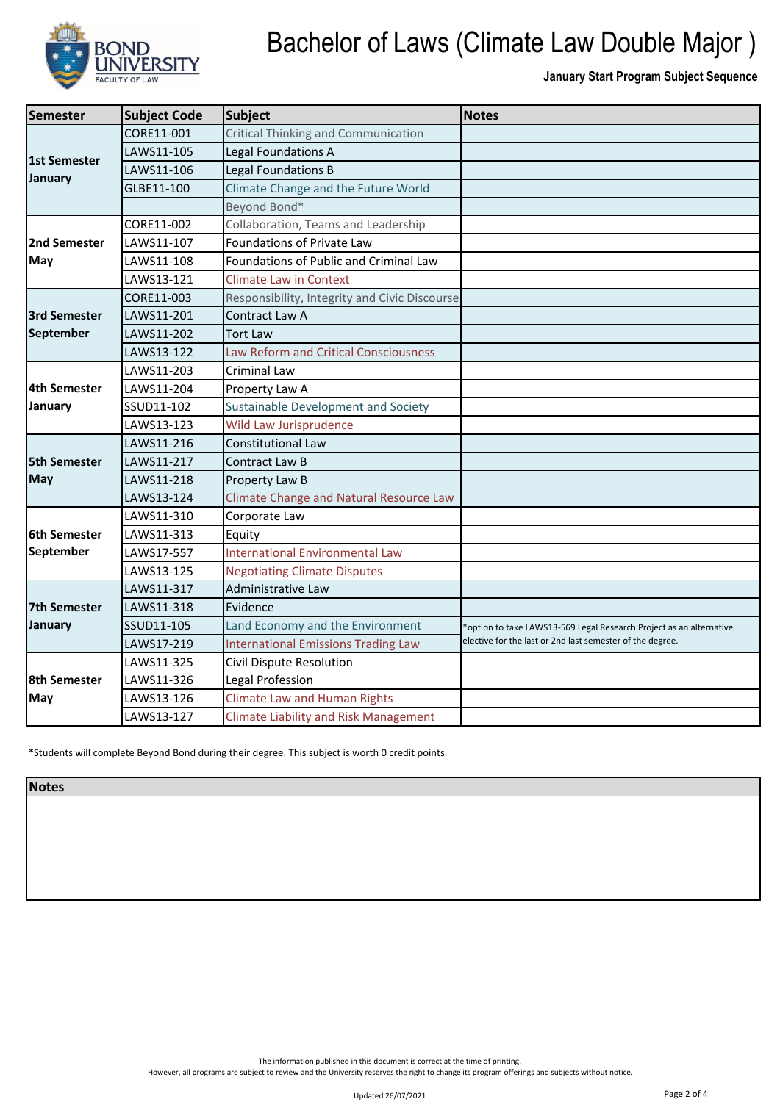

**January Start Program Subject Sequence**

| Semester                   | <b>Subject Code</b> | <b>Subject</b>                                 | <b>Notes</b>                                                        |
|----------------------------|---------------------|------------------------------------------------|---------------------------------------------------------------------|
| 1st Semester<br>January    | CORE11-001          | <b>Critical Thinking and Communication</b>     |                                                                     |
|                            | LAWS11-105          | Legal Foundations A                            |                                                                     |
|                            | LAWS11-106          | <b>Legal Foundations B</b>                     |                                                                     |
|                            | GLBE11-100          | Climate Change and the Future World            |                                                                     |
|                            |                     | Beyond Bond*                                   |                                                                     |
|                            | CORE11-002          | Collaboration, Teams and Leadership            |                                                                     |
| 2nd Semester               | LAWS11-107          | Foundations of Private Law                     |                                                                     |
| May                        | LAWS11-108          | Foundations of Public and Criminal Law         |                                                                     |
|                            | LAWS13-121          | <b>Climate Law in Context</b>                  |                                                                     |
|                            | CORE11-003          | Responsibility, Integrity and Civic Discourse  |                                                                     |
| <b>3rd Semester</b>        | LAWS11-201          | Contract Law A                                 |                                                                     |
| September                  | LAWS11-202          | <b>Tort Law</b>                                |                                                                     |
|                            | LAWS13-122          | <b>Law Reform and Critical Consciousness</b>   |                                                                     |
|                            | LAWS11-203          | Criminal Law                                   |                                                                     |
| 4th Semester               | LAWS11-204          | Property Law A                                 |                                                                     |
| January                    | SSUD11-102          | Sustainable Development and Society            |                                                                     |
|                            | LAWS13-123          | <b>Wild Law Jurisprudence</b>                  |                                                                     |
|                            | LAWS11-216          | <b>Constitutional Law</b>                      |                                                                     |
| <b>5th Semester</b>        | LAWS11-217          | Contract Law B                                 |                                                                     |
| <b>May</b>                 | LAWS11-218          | Property Law B                                 |                                                                     |
|                            | LAWS13-124          | <b>Climate Change and Natural Resource Law</b> |                                                                     |
|                            | LAWS11-310          | Corporate Law                                  |                                                                     |
| <b>6th Semester</b>        | LAWS11-313          | Equity                                         |                                                                     |
| September                  | LAWS17-557          | <b>International Environmental Law</b>         |                                                                     |
|                            | LAWS13-125          | <b>Negotiating Climate Disputes</b>            |                                                                     |
| 7th Semester<br>January    | LAWS11-317          | Administrative Law                             |                                                                     |
|                            | LAWS11-318          | Evidence                                       |                                                                     |
|                            | SSUD11-105          | Land Economy and the Environment               | *option to take LAWS13-569 Legal Research Project as an alternative |
|                            | LAWS17-219          | <b>International Emissions Trading Law</b>     | elective for the last or 2nd last semester of the degree.           |
| <b>8th Semester</b><br>May | LAWS11-325          | Civil Dispute Resolution                       |                                                                     |
|                            | LAWS11-326          | Legal Profession                               |                                                                     |
|                            | LAWS13-126          | <b>Climate Law and Human Rights</b>            |                                                                     |
|                            | LAWS13-127          | <b>Climate Liability and Risk Management</b>   |                                                                     |

\*Students will complete Beyond Bond during their degree. This subject is worth 0 credit points.

**Notes**

The information published in this document is correct at the time of printing.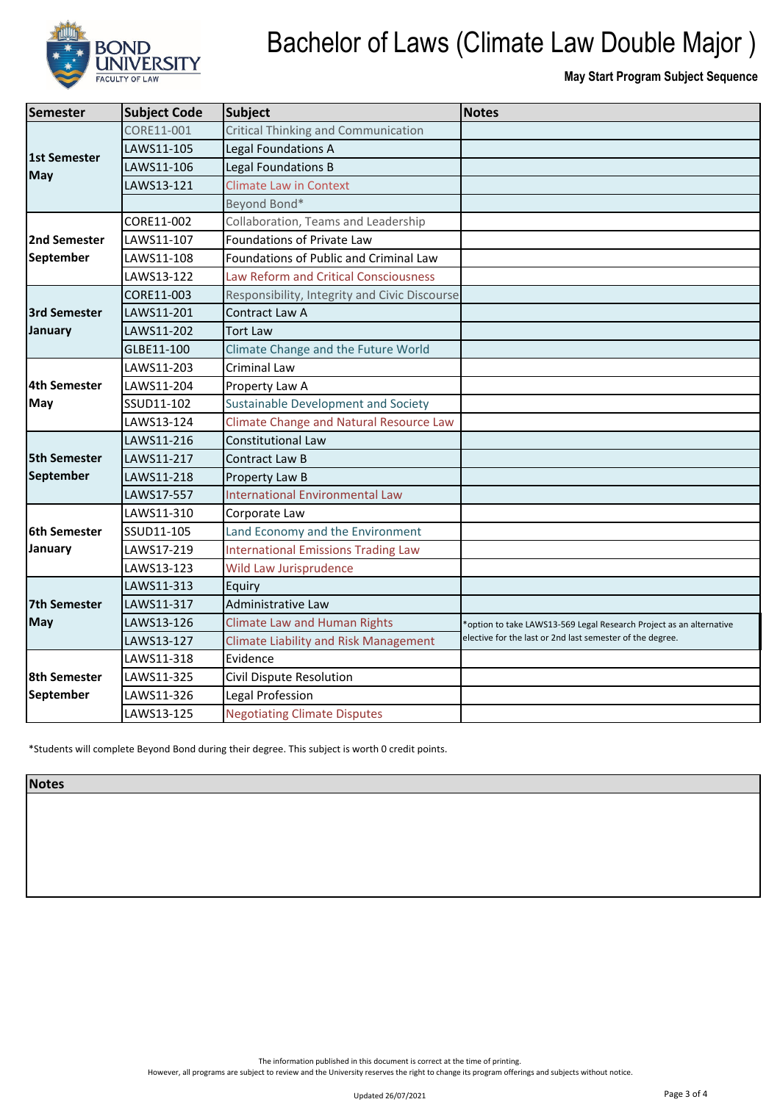

**May Start Program Subject Sequence**

| <b>Semester</b>                  | <b>Subject Code</b> | <b>Subject</b>                                 | <b>Notes</b>                                                        |
|----------------------------------|---------------------|------------------------------------------------|---------------------------------------------------------------------|
| <b>1st Semester</b><br>May       | CORE11-001          | Critical Thinking and Communication            |                                                                     |
|                                  | LAWS11-105          | Legal Foundations A                            |                                                                     |
|                                  | LAWS11-106          | <b>Legal Foundations B</b>                     |                                                                     |
|                                  | LAWS13-121          | <b>Climate Law in Context</b>                  |                                                                     |
|                                  |                     | Beyond Bond*                                   |                                                                     |
|                                  | CORE11-002          | Collaboration, Teams and Leadership            |                                                                     |
| 2nd Semester                     | LAWS11-107          | Foundations of Private Law                     |                                                                     |
| September                        | LAWS11-108          | Foundations of Public and Criminal Law         |                                                                     |
|                                  | LAWS13-122          | <b>Law Reform and Critical Consciousness</b>   |                                                                     |
|                                  | CORE11-003          | Responsibility, Integrity and Civic Discourse  |                                                                     |
| <b>3rd Semester</b>              | LAWS11-201          | Contract Law A                                 |                                                                     |
| January                          | LAWS11-202          | Tort Law                                       |                                                                     |
|                                  | GLBE11-100          | Climate Change and the Future World            |                                                                     |
|                                  | LAWS11-203          | <b>Criminal Law</b>                            |                                                                     |
| <b>4th Semester</b>              | LAWS11-204          | Property Law A                                 |                                                                     |
| May                              | SSUD11-102          | Sustainable Development and Society            |                                                                     |
|                                  | LAWS13-124          | <b>Climate Change and Natural Resource Law</b> |                                                                     |
|                                  | LAWS11-216          | <b>Constitutional Law</b>                      |                                                                     |
| <b>5th Semester</b>              | LAWS11-217          | Contract Law B                                 |                                                                     |
| September                        | LAWS11-218          | Property Law B                                 |                                                                     |
|                                  | LAWS17-557          | <b>International Environmental Law</b>         |                                                                     |
|                                  | LAWS11-310          | Corporate Law                                  |                                                                     |
| <b>6th Semester</b>              | SSUD11-105          | Land Economy and the Environment               |                                                                     |
| January                          | LAWS17-219          | <b>International Emissions Trading Law</b>     |                                                                     |
|                                  | LAWS13-123          | <b>Wild Law Jurisprudence</b>                  |                                                                     |
| 7th Semester<br><b>May</b>       | LAWS11-313          | Equiry                                         |                                                                     |
|                                  | LAWS11-317          | Administrative Law                             |                                                                     |
|                                  | LAWS13-126          | <b>Climate Law and Human Rights</b>            | *option to take LAWS13-569 Legal Research Project as an alternative |
|                                  | LAWS13-127          | <b>Climate Liability and Risk Management</b>   | elective for the last or 2nd last semester of the degree.           |
| <b>8th Semester</b><br>September | LAWS11-318          | Evidence                                       |                                                                     |
|                                  | LAWS11-325          | Civil Dispute Resolution                       |                                                                     |
|                                  | LAWS11-326          | Legal Profession                               |                                                                     |
|                                  | LAWS13-125          | <b>Negotiating Climate Disputes</b>            |                                                                     |

\*Students will complete Beyond Bond during their degree. This subject is worth 0 credit points.

**Notes**

The information published in this document is correct at the time of printing.